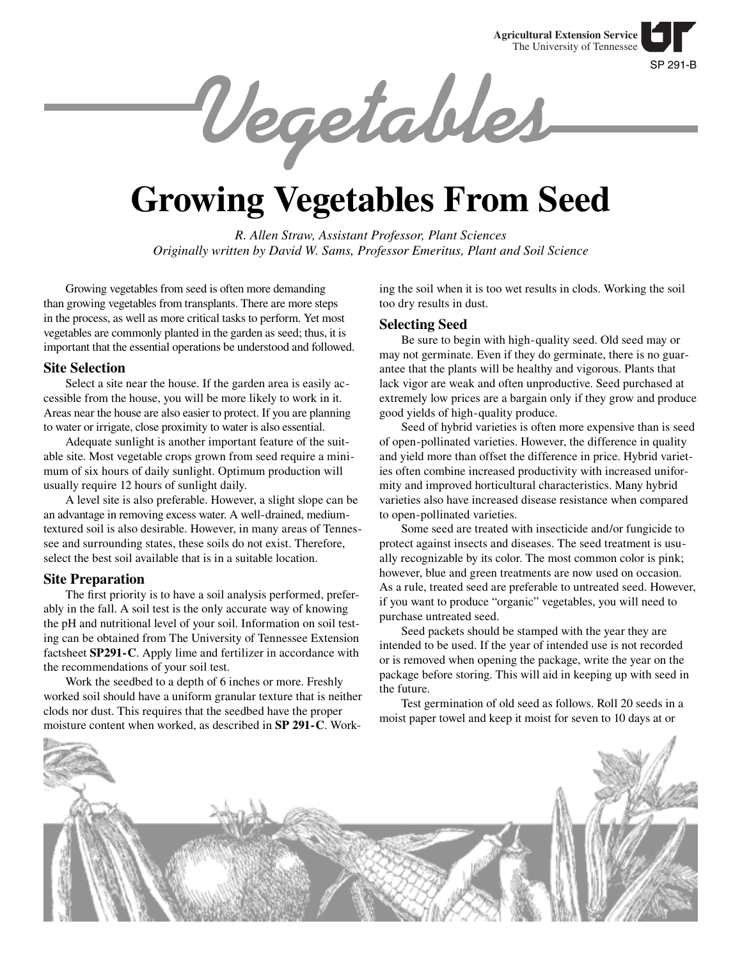SP 291-B **Agricultural Extension Service** The University of Tennessee

**Vegetables**

# **Growing Vegetables From Seed**

*R. Allen Straw, Assistant Professor, Plant Sciences Originally written by David W. Sams, Professor Emeritus, Plant and Soil Science*

Growing vegetables from seed is often more demanding than growing vegetables from transplants. There are more steps in the process, as well as more critical tasks to perform. Yet most vegetables are commonly planted in the garden as seed; thus, it is important that the essential operations be understood and followed.

## **Site Selection**

Select a site near the house. If the garden area is easily accessible from the house, you will be more likely to work in it. Areas near the house are also easier to protect. If you are planning to water or irrigate, close proximity to water is also essential.

Adequate sunlight is another important feature of the suitable site. Most vegetable crops grown from seed require a minimum of six hours of daily sunlight. Optimum production will usually require 12 hours of sunlight daily.

A level site is also preferable. However, a slight slope can be an advantage in removing excess water. A well-drained, mediumtextured soil is also desirable. However, in many areas of Tennessee and surrounding states, these soils do not exist. Therefore, select the best soil available that is in a suitable location.

## **Site Preparation**

The first priority is to have a soil analysis performed, preferably in the fall. A soil test is the only accurate way of knowing the pH and nutritional level of your soil. Information on soil testing can be obtained from The University of Tennessee Extension factsheet **SP291-C**. Apply lime and fertilizer in accordance with the recommendations of your soil test.

Work the seedbed to a depth of 6 inches or more. Freshly worked soil should have a uniform granular texture that is neither clods nor dust. This requires that the seedbed have the proper moisture content when worked, as described in **SP 291-C**. Working the soil when it is too wet results in clods. Working the soil too dry results in dust.

## **Selecting Seed**

Be sure to begin with high-quality seed. Old seed may or may not germinate. Even if they do germinate, there is no guarantee that the plants will be healthy and vigorous. Plants that lack vigor are weak and often unproductive. Seed purchased at extremely low prices are a bargain only if they grow and produce good yields of high-quality produce.

Seed of hybrid varieties is often more expensive than is seed of open-pollinated varieties. However, the difference in quality and yield more than offset the difference in price. Hybrid varieties often combine increased productivity with increased uniformity and improved horticultural characteristics. Many hybrid varieties also have increased disease resistance when compared to open-pollinated varieties.

Some seed are treated with insecticide and/or fungicide to protect against insects and diseases. The seed treatment is usually recognizable by its color. The most common color is pink; however, blue and green treatments are now used on occasion. As a rule, treated seed are preferable to untreated seed. However, if you want to produce "organic" vegetables, you will need to purchase untreated seed.

Seed packets should be stamped with the year they are intended to be used. If the year of intended use is not recorded or is removed when opening the package, write the year on the package before storing. This will aid in keeping up with seed in the future.

Test germination of old seed as follows. Roll 20 seeds in a moist paper towel and keep it moist for seven to 10 days at or